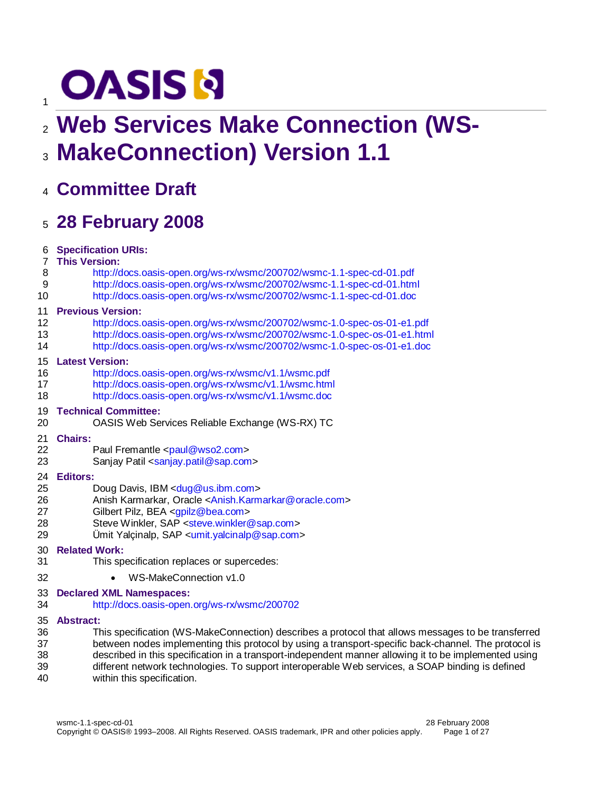# **OASIS N**

# **Web Services Make Connection (WS-**

**MakeConnection) Version 1.1**

## **Committee Draft**

 $\overline{1}$ 

# **28 February 2008**

| 6  | <b>Specification URIs:</b>                                                                            |
|----|-------------------------------------------------------------------------------------------------------|
| 7  | <b>This Version:</b>                                                                                  |
| 8  | http://docs.oasis-open.org/ws-rx/wsmc/200702/wsmc-1.1-spec-cd-01.pdf                                  |
| 9  | http://docs.oasis-open.org/ws-rx/wsmc/200702/wsmc-1.1-spec-cd-01.html                                 |
| 10 | http://docs.oasis-open.org/ws-rx/wsmc/200702/wsmc-1.1-spec-cd-01.doc                                  |
| 11 | <b>Previous Version:</b>                                                                              |
| 12 | http://docs.oasis-open.org/ws-rx/wsmc/200702/wsmc-1.0-spec-os-01-e1.pdf                               |
| 13 | http://docs.oasis-open.org/ws-rx/wsmc/200702/wsmc-1.0-spec-os-01-e1.html                              |
| 14 | http://docs.oasis-open.org/ws-rx/wsmc/200702/wsmc-1.0-spec-os-01-e1.doc                               |
| 15 | <b>Latest Version:</b>                                                                                |
| 16 | http://docs.oasis-open.org/ws-rx/wsmc/v1.1/wsmc.pdf                                                   |
| 17 | http://docs.oasis-open.org/ws-rx/wsmc/v1.1/wsmc.html                                                  |
| 18 | http://docs.oasis-open.org/ws-rx/wsmc/v1.1/wsmc.doc                                                   |
| 19 | <b>Technical Committee:</b>                                                                           |
| 20 | OASIS Web Services Reliable Exchange (WS-RX) TC                                                       |
| 21 | <b>Chairs:</b>                                                                                        |
| 22 | Paul Fremantle <paul@wso2.com></paul@wso2.com>                                                        |
| 23 | Sanjay Patil <sanjay.patil@sap.com></sanjay.patil@sap.com>                                            |
| 24 | <b>Editors:</b>                                                                                       |
| 25 | Doug Davis, IBM <dug@us.ibm.com></dug@us.ibm.com>                                                     |
| 26 | Anish Karmarkar, Oracle <anish.karmarkar@oracle.com></anish.karmarkar@oracle.com>                     |
| 27 | Gilbert Pilz, BEA <gpilz@bea.com></gpilz@bea.com>                                                     |
| 28 | Steve Winkler, SAP <steve.winkler@sap.com></steve.winkler@sap.com>                                    |
| 29 | Umit Yalçinalp, SAP $\leq$ umit.yalcinalp@sap.com>                                                    |
| 30 | <b>Related Work:</b>                                                                                  |
| 31 | This specification replaces or supercedes:                                                            |
| 32 | WS-MakeConnection v1.0                                                                                |
| 33 | <b>Declared XML Namespaces:</b>                                                                       |
| 34 | http://docs.oasis-open.org/ws-rx/wsmc/200702                                                          |
| 35 | <b>Abstract:</b>                                                                                      |
| 36 | This specification (WS-MakeConnection) describes a protocol that allows messages to be transferred    |
| 37 | between nodes implementing this protocol by using a transport-specific back-channel. The protocol is  |
| 38 | described in this specification in a transport-independent manner allowing it to be implemented using |
| 39 | different network technologies. To support interoperable Web services, a SOAP binding is defined      |
| 40 | within this specification.                                                                            |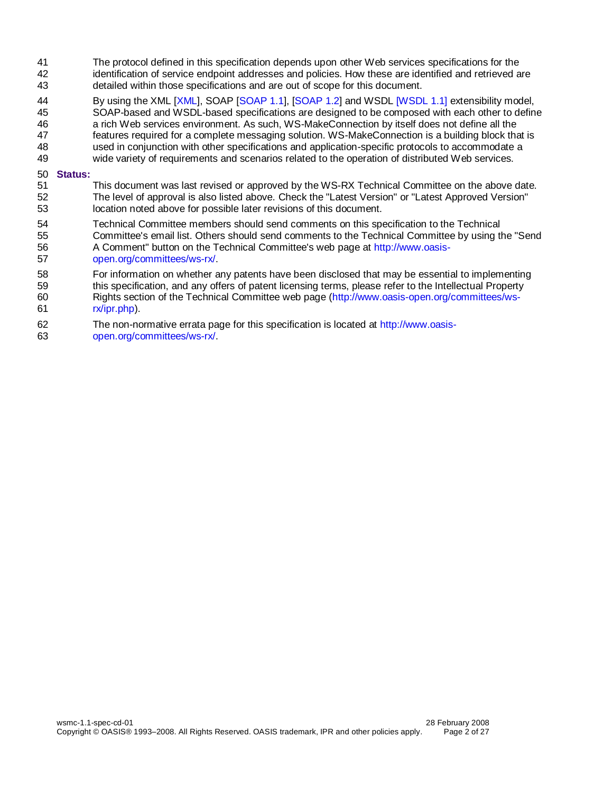- The protocol defined in this specification depends upon other Web services specifications for the identification of service endpoint addresses and policies. How these are identified and retrieved are detailed within those specifications and are out of scope for this document.
- 44 By using the XML [\[XML\]](#page-5-0), SOAP [\[SOAP 1.1\]](#page-5-1), [\[SOAP 1.2\]](#page-5-2) and WSD[L \[WSDL 1.1\] e](#page-5-3)xtensibility model,
- SOAP-based and WSDL-based specifications are designed to be composed with each other to define
- a rich Web services environment. As such, WS-MakeConnection by itself does not define all the
- features required for a complete messaging solution. WS-MakeConnection is a building block that is
- used in conjunction with other specifications and application-specific protocols to accommodate a
- wide variety of requirements and scenarios related to the operation of distributed Web services.

#### **Status:**

- This document was last revised or approved by the WS-RX Technical Committee on the above date. The level of approval is also listed above. Check the "Latest Version" or "Latest Approved Version" location noted above for possible later revisions of this document.
- Technical Committee members should send comments on this specification to the Technical Committee's email list. Others should send comments to the Technical Committee by using the "Send A Comment" button on the Technical Committee's web page at [http://www.oasis-](http://www.oasis-open.org/committees/ws-rx/)
- [open.org/committees/ws-rx/.](http://www.oasis-open.org/committees/ws-rx/)
- For information on whether any patents have been disclosed that may be essential to implementing this specification, and any offers of patent licensing terms, please refer to the Intellectual Property
- Rights section of the Technical Committee web page [\(http://www.oasis-open.org/committees/ws-](http://www.oasis-open.org/committees/ws-rx/ipr.php)[rx/ipr.php\)](http://www.oasis-open.org/committees/ws-rx/ipr.php).
- The non-normative errata page for this specification is located at [http://www.oasis-](http://www.oasis-open.org/committees/ws-rx/)
- [open.org/committees/ws-rx/.](http://www.oasis-open.org/committees/ws-rx/)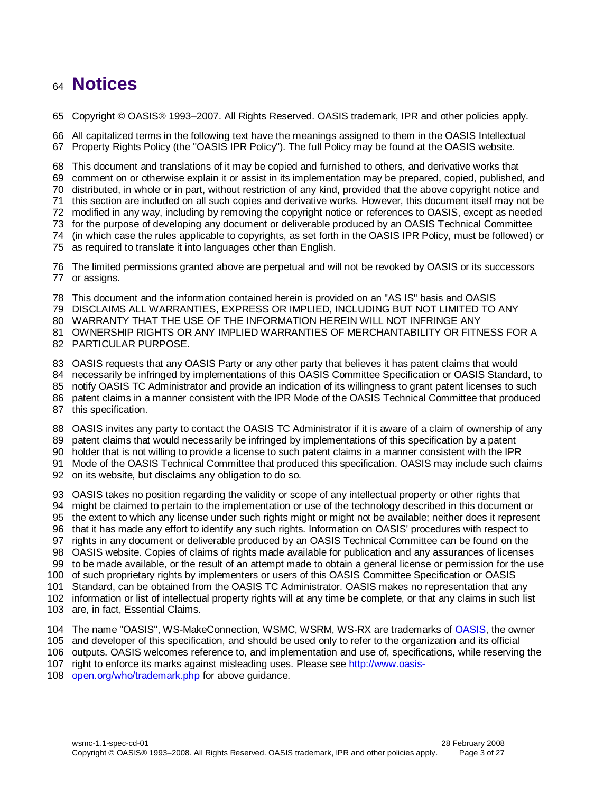## **Notices**

Copyright © OASIS® 1993–2007. All Rights Reserved. OASIS trademark, IPR and other policies apply.

 All capitalized terms in the following text have the meanings assigned to them in the OASIS Intellectual Property Rights Policy (the "OASIS IPR Policy"). The full Policy may be found at the OASIS website.

This document and translations of it may be copied and furnished to others, and derivative works that

comment on or otherwise explain it or assist in its implementation may be prepared, copied, published, and

distributed, in whole or in part, without restriction of any kind, provided that the above copyright notice and

this section are included on all such copies and derivative works. However, this document itself may not be

modified in any way, including by removing the copyright notice or references to OASIS, except as needed

for the purpose of developing any document or deliverable produced by an OASIS Technical Committee

(in which case the rules applicable to copyrights, as set forth in the OASIS IPR Policy, must be followed) or

as required to translate it into languages other than English.

 The limited permissions granted above are perpetual and will not be revoked by OASIS or its successors or assigns.

This document and the information contained herein is provided on an "AS IS" basis and OASIS

DISCLAIMS ALL WARRANTIES, EXPRESS OR IMPLIED, INCLUDING BUT NOT LIMITED TO ANY

WARRANTY THAT THE USE OF THE INFORMATION HEREIN WILL NOT INFRINGE ANY

OWNERSHIP RIGHTS OR ANY IMPLIED WARRANTIES OF MERCHANTABILITY OR FITNESS FOR A

PARTICULAR PURPOSE.

OASIS requests that any OASIS Party or any other party that believes it has patent claims that would

necessarily be infringed by implementations of this OASIS Committee Specification or OASIS Standard, to

- notify OASIS TC Administrator and provide an indication of its willingness to grant patent licenses to such
- patent claims in a manner consistent with the IPR Mode of the OASIS Technical Committee that produced

this specification.

OASIS invites any party to contact the OASIS TC Administrator if it is aware of a claim of ownership of any

patent claims that would necessarily be infringed by implementations of this specification by a patent

holder that is not willing to provide a license to such patent claims in a manner consistent with the IPR

Mode of the OASIS Technical Committee that produced this specification. OASIS may include such claims

on its website, but disclaims any obligation to do so.

OASIS takes no position regarding the validity or scope of any intellectual property or other rights that

might be claimed to pertain to the implementation or use of the technology described in this document or

- the extent to which any license under such rights might or might not be available; neither does it represent
- that it has made any effort to identify any such rights. Information on OASIS' procedures with respect to

rights in any document or deliverable produced by an OASIS Technical Committee can be found on the

OASIS website. Copies of claims of rights made available for publication and any assurances of licenses

to be made available, or the result of an attempt made to obtain a general license or permission for the use

of such proprietary rights by implementers or users of this OASIS Committee Specification or OASIS

Standard, can be obtained from the OASIS TC Administrator. OASIS makes no representation that any

information or list of intellectual property rights will at any time be complete, or that any claims in such list

are, in fact, Essential Claims.

The name "OASIS", WS-MakeConnection, WSMC, WSRM, WS-RX are trademarks of [OASIS,](http://www.oasis-open.org/) the owner

and developer of this specification, and should be used only to refer to the organization and its official

outputs. OASIS welcomes reference to, and implementation and use of, specifications, while reserving the

right to enforce its marks against misleading uses. Please see [http://www.oasis-](http://www.oasis-open.org/who/trademark.php)

[open.org/who/trademark.php](http://www.oasis-open.org/who/trademark.php) for above guidance.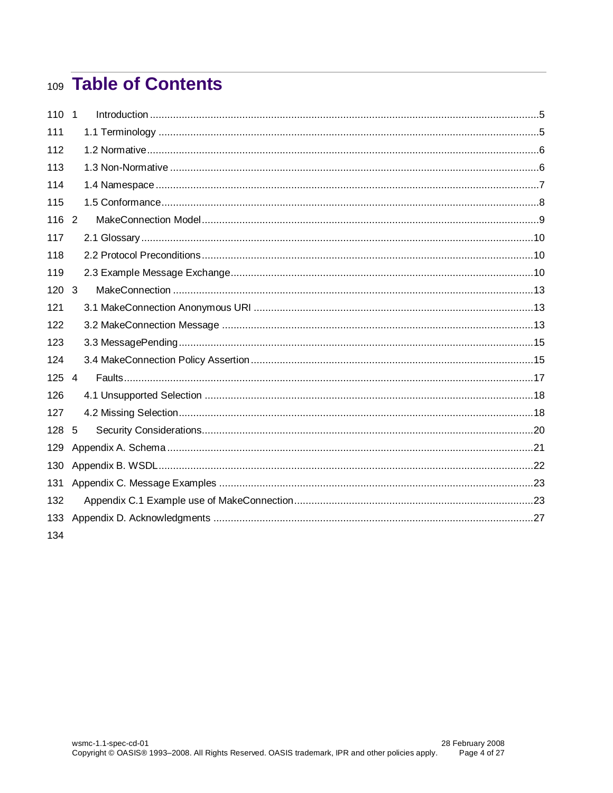# 109 Table of Contents

| 110 <sub>1</sub> |   |  |
|------------------|---|--|
| 111              |   |  |
| 112              |   |  |
| 113              |   |  |
| 114              |   |  |
| 115              |   |  |
| 116 2            |   |  |
| 117              |   |  |
| 118              |   |  |
| 119              |   |  |
| $120 \quad 3$    |   |  |
| 121              |   |  |
| 122              |   |  |
| 123              |   |  |
| 124              |   |  |
| 125 4            |   |  |
| 126              |   |  |
| 127              |   |  |
| 128              | 5 |  |
| 129              |   |  |
| 130              |   |  |
| 131              |   |  |
| 132              |   |  |
| 133              |   |  |
| 134              |   |  |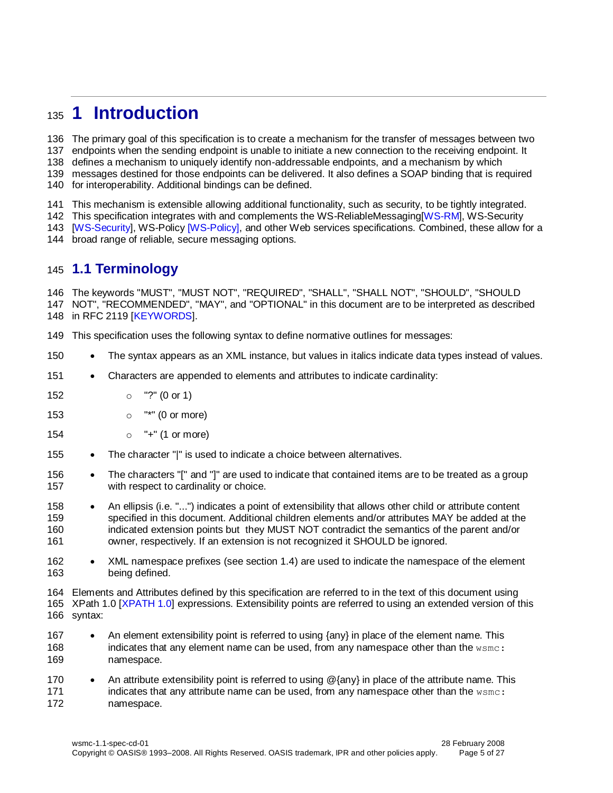## <span id="page-4-0"></span>**1 Introduction**

The primary goal of this specification is to create a mechanism for the transfer of messages between two

endpoints when the sending endpoint is unable to initiate a new connection to the receiving endpoint. It

defines a mechanism to uniquely identify non-addressable endpoints, and a mechanism by which

messages destined for those endpoints can be delivered. It also defines a SOAP binding that is required

for interoperability. Additional bindings can be defined.

This mechanism is extensible allowing additional functionality, such as security, to be tightly integrated.

This specification integrates with and complements the WS-ReliableMessaging[\[WS-RM\]](#page-5-6), WS-Security

 [\[WS-Security\]](#page-6-1), WS-Policy [\[WS-Policy\],](#page-6-2) and other Web services specifications. Combined, these allow for a broad range of reliable, secure messaging options.

#### <span id="page-4-1"></span>**1.1 Terminology**

 The keywords "MUST", "MUST NOT", "REQUIRED", "SHALL", "SHALL NOT", "SHOULD", "SHOULD NOT", "RECOMMENDED", "MAY", and "OPTIONAL" in this document are to be interpreted as described in RFC 2119 [\[KEYWORDS\]](#page-5-7).

This specification uses the following syntax to define normative outlines for messages:

- 150 The syntax appears as an XML instance, but values in italics indicate data types instead of values.
- Characters are appended to elements and attributes to indicate cardinality:
- o "?" (0 or 1)
- o "\*" (0 or more)
- o "+" (1 or more)
- 155 The character "|" is used to indicate a choice between alternatives.
- 156 The characters "[" and "]" are used to indicate that contained items are to be treated as a group with respect to cardinality or choice.
- 158 An ellipsis (i.e. "...") indicates a point of extensibility that allows other child or attribute content specified in this document. Additional children elements and/or attributes MAY be added at the indicated extension points but they MUST NOT contradict the semantics of the parent and/or owner, respectively. If an extension is not recognized it SHOULD be ignored.
- 162 XML namespace prefixes (see section [1.4\)](#page-6-0) are used to indicate the namespace of the element being defined.

Elements and Attributes defined by this specification are referred to in the text of this document using

- XPath 1.0 [XPATH 1.0] expressions. Extensibility points are referred to using an extended version of this syntax:
- 167 An element extensibility point is referred to using {any} in place of the element name. This indicates that any element name can be used, from any namespace other than the wsmc: namespace.
- 170 An attribute extensibility point is referred to using @{any} in place of the attribute name. This 171 indicates that any attribute name can be used, from any namespace other than the wsmc: namespace.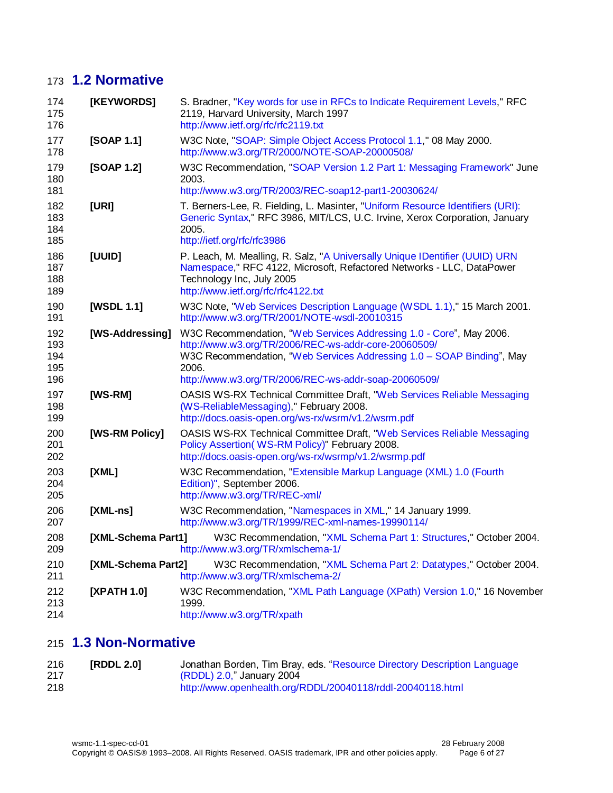## **1.2 Normative**

<span id="page-5-13"></span><span id="page-5-12"></span><span id="page-5-7"></span><span id="page-5-4"></span><span id="page-5-3"></span><span id="page-5-2"></span><span id="page-5-1"></span>

| 174<br>175<br>176               | [KEYWORDS]<br>S. Bradner, "Key words for use in RFCs to Indicate Requirement Levels," RFC<br>2119, Harvard University, March 1997<br>http://www.ietf.org/rfc/rfc2119.txt |                                                                                                                                                                                                                                                                       |  |
|---------------------------------|--------------------------------------------------------------------------------------------------------------------------------------------------------------------------|-----------------------------------------------------------------------------------------------------------------------------------------------------------------------------------------------------------------------------------------------------------------------|--|
| 177<br>178                      | [SOAP 1.1]                                                                                                                                                               | W3C Note, "SOAP: Simple Object Access Protocol 1.1," 08 May 2000.<br>http://www.w3.org/TR/2000/NOTE-SOAP-20000508/                                                                                                                                                    |  |
| 179<br>180<br>181               | [SOAP 1.2]                                                                                                                                                               | W3C Recommendation, "SOAP Version 1.2 Part 1: Messaging Framework" June<br>2003.<br>http://www.w3.org/TR/2003/REC-soap12-part1-20030624/                                                                                                                              |  |
| 182<br>183<br>184<br>185        | [URI]                                                                                                                                                                    | T. Berners-Lee, R. Fielding, L. Masinter, "Uniform Resource Identifiers (URI):<br>Generic Syntax," RFC 3986, MIT/LCS, U.C. Irvine, Xerox Corporation, January<br>2005.<br>http://ietf.org/rfc/rfc3986                                                                 |  |
| 186<br>187<br>188<br>189        | [UUID]                                                                                                                                                                   | P. Leach, M. Mealling, R. Salz, "A Universally Unique IDentifier (UUID) URN<br>Namespace," RFC 4122, Microsoft, Refactored Networks - LLC, DataPower<br>Technology Inc, July 2005<br>http://www.ietf.org/rfc/rfc4122.txt                                              |  |
| 190<br>191                      | [WSDL 1.1]                                                                                                                                                               | W3C Note, "Web Services Description Language (WSDL 1.1)," 15 March 2001.<br>http://www.w3.org/TR/2001/NOTE-wsdl-20010315                                                                                                                                              |  |
| 192<br>193<br>194<br>195<br>196 | [WS-Addressing]                                                                                                                                                          | W3C Recommendation, "Web Services Addressing 1.0 - Core", May 2006.<br>http://www.w3.org/TR/2006/REC-ws-addr-core-20060509/<br>W3C Recommendation, "Web Services Addressing 1.0 - SOAP Binding", May<br>2006.<br>http://www.w3.org/TR/2006/REC-ws-addr-soap-20060509/ |  |
| 197<br>198<br>199               | [WS-RM]                                                                                                                                                                  | OASIS WS-RX Technical Committee Draft, "Web Services Reliable Messaging<br>(WS-ReliableMessaging)," February 2008.<br>http://docs.oasis-open.org/ws-rx/wsrm/v1.2/wsrm.pdf                                                                                             |  |
| 200<br>201<br>202               | [WS-RM Policy]                                                                                                                                                           | OASIS WS-RX Technical Committee Draft, "Web Services Reliable Messaging<br>Policy Assertion (WS-RM Policy)" February 2008.<br>http://docs.oasis-open.org/ws-rx/wsrmp/v1.2/wsrmp.pdf                                                                                   |  |
| 203<br>204<br>205               | [XML]                                                                                                                                                                    | W3C Recommendation, "Extensible Markup Language (XML) 1.0 (Fourth<br>Edition)", September 2006.<br>http://www.w3.org/TR/REC-xml/                                                                                                                                      |  |
| 206<br>207                      | $[XML-ns]$                                                                                                                                                               | W3C Recommendation, "Namespaces in XML," 14 January 1999.<br>http://www.w3.org/TR/1999/REC-xml-names-19990114/                                                                                                                                                        |  |
| 208<br>209                      | [XML-Schema Part1]                                                                                                                                                       | W3C Recommendation, "XML Schema Part 1: Structures," October 2004.<br>http://www.w3.org/TR/xmlschema-1/                                                                                                                                                               |  |
| 210<br>211                      | [XML-Schema Part2]                                                                                                                                                       | W3C Recommendation, "XML Schema Part 2: Datatypes," October 2004.<br>http://www.w3.org/TR/xmlschema-2/                                                                                                                                                                |  |
| 212<br>213<br>214               | [XPATH 1.0]                                                                                                                                                              | W3C Recommendation, "XML Path Language (XPath) Version 1.0," 16 November<br>1999.<br>http://www.w3.org/TR/xpath                                                                                                                                                       |  |

## <span id="page-5-14"></span><span id="page-5-11"></span><span id="page-5-10"></span><span id="page-5-8"></span><span id="page-5-6"></span><span id="page-5-5"></span><span id="page-5-0"></span>**1.3 Non-Normative**

<span id="page-5-9"></span>

| 216 | [RDDL 2.0] | Jonathan Borden, Tim Bray, eds. "Resource Directory Description Language |
|-----|------------|--------------------------------------------------------------------------|
| 217 |            | (RDDL) 2.0," January 2004                                                |
| 218 |            | http://www.openhealth.org/RDDL/20040118/rddl-20040118.html               |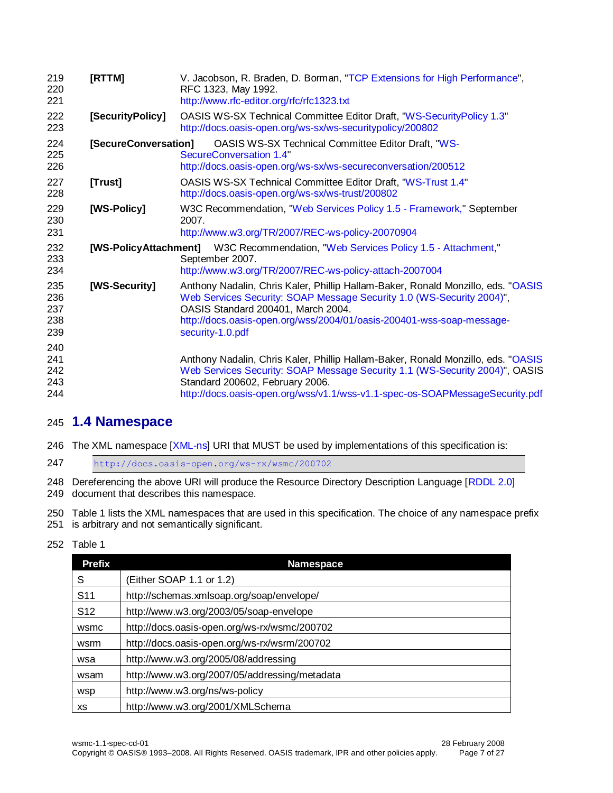<span id="page-6-7"></span><span id="page-6-6"></span><span id="page-6-5"></span><span id="page-6-4"></span><span id="page-6-3"></span><span id="page-6-2"></span>

| 219<br>220<br>221               | [RTTM]                | V. Jacobson, R. Braden, D. Borman, "TCP Extensions for High Performance",<br>RFC 1323, May 1992.<br>http://www.rfc-editor.org/rfc/rfc1323.txt                                                                                                                                                |
|---------------------------------|-----------------------|----------------------------------------------------------------------------------------------------------------------------------------------------------------------------------------------------------------------------------------------------------------------------------------------|
| 222<br>223                      | [SecurityPolicy]      | OASIS WS-SX Technical Committee Editor Draft, "WS-SecurityPolicy 1.3"<br>http://docs.oasis-open.org/ws-sx/ws-securitypolicy/200802                                                                                                                                                           |
| 224<br>225<br>226               | [SecureConversation]  | <b>OASIS WS-SX Technical Committee Editor Draft, "WS-</b><br>SecureConversation 1.4"<br>http://docs.oasis-open.org/ws-sx/ws-secureconversation/200512                                                                                                                                        |
| 227<br>228                      | [Trust]               | OASIS WS-SX Technical Committee Editor Draft, "WS-Trust 1.4"<br>http://docs.oasis-open.org/ws-sx/ws-trust/200802                                                                                                                                                                             |
| 229<br>230<br>231               | [WS-Policy]           | W3C Recommendation, "Web Services Policy 1.5 - Framework," September<br>2007.<br>http://www.w3.org/TR/2007/REC-ws-policy-20070904                                                                                                                                                            |
| 232<br>233<br>234               | [WS-PolicyAttachment] | W3C Recommendation, "Web Services Policy 1.5 - Attachment,"<br>September 2007.<br>http://www.w3.org/TR/2007/REC-ws-policy-attach-2007004                                                                                                                                                     |
| 235<br>236<br>237<br>238<br>239 | [WS-Security]         | Anthony Nadalin, Chris Kaler, Phillip Hallam-Baker, Ronald Monzillo, eds. "OASIS<br>Web Services Security: SOAP Message Security 1.0 (WS-Security 2004)",<br>OASIS Standard 200401, March 2004.<br>http://docs.oasis-open.org/wss/2004/01/oasis-200401-wss-soap-message-<br>security-1.0.pdf |
| 240<br>241<br>242<br>243<br>244 |                       | Anthony Nadalin, Chris Kaler, Phillip Hallam-Baker, Ronald Monzillo, eds. "OASIS"<br>Web Services Security: SOAP Message Security 1.1 (WS-Security 2004)", OASIS<br>Standard 200602, February 2006.<br>http://docs.oasis-open.org/wss/v1.1/wss-v1.1-spec-os-SOAPMessageSecurity.pdf          |

#### <span id="page-6-1"></span><span id="page-6-0"></span>**1.4 Namespace**

246 The XML namespace [\[XML-ns\]](#page-5-8) URI that MUST be used by implementations of this specification is:

<http://docs.oasis-open.org/ws-rx/wsmc/200702>

248 Dereferencing the above URI will produce the Resource Directory Description Language [\[RDDL 2.0\]](#page-5-9) document that describes this namespace.

250 Table 1 lists the XML namespaces that are used in this specification. The choice of any namespace prefix 251 is arbitrary and not semantically significant. is arbitrary and not semantically significant.

#### Table 1

| <b>Prefix</b>   | <b>Namespace</b>                              |
|-----------------|-----------------------------------------------|
| S               | (Either SOAP 1.1 or 1.2)                      |
| S <sub>11</sub> | http://schemas.xmlsoap.org/soap/envelope/     |
| S <sub>12</sub> | http://www.w3.org/2003/05/soap-envelope       |
| wsmc            | http://docs.oasis-open.org/ws-rx/wsmc/200702  |
| wsrm            | http://docs.oasis-open.org/ws-rx/wsrm/200702  |
| wsa             | http://www.w3.org/2005/08/addressing          |
| wsam            | http://www.w3.org/2007/05/addressing/metadata |
| <b>WSD</b>      | http://www.w3.org/ns/ws-policy                |
| хs              | http://www.w3.org/2001/XMLSchema              |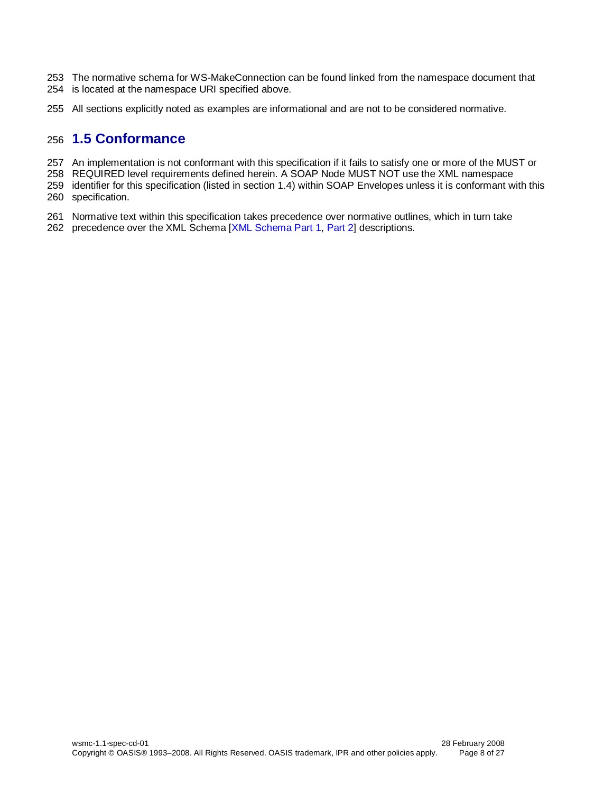- The normative schema for WS-MakeConnection can be found linked from the namespace document that is located at the namespace URI specified above.
- All sections explicitly noted as examples are informational and are not to be considered normative.

#### <span id="page-7-0"></span>**1.5 Conformance**

- An implementation is not conformant with this specification if it fails to satisfy one or more of the MUST or
- REQUIRED level requirements defined herein. A SOAP Node MUST NOT use the XML namespace
- identifier for this specification (listed in section [1.4\)](#page-6-0) within SOAP Envelopes unless it is conformant with this specification.
- Normative text within this specification takes precedence over normative outlines, which in turn take
- precedence over the XML Schema [\[XML Schema Part 1,](#page-5-10) [Part 2\]](#page-5-11) descriptions.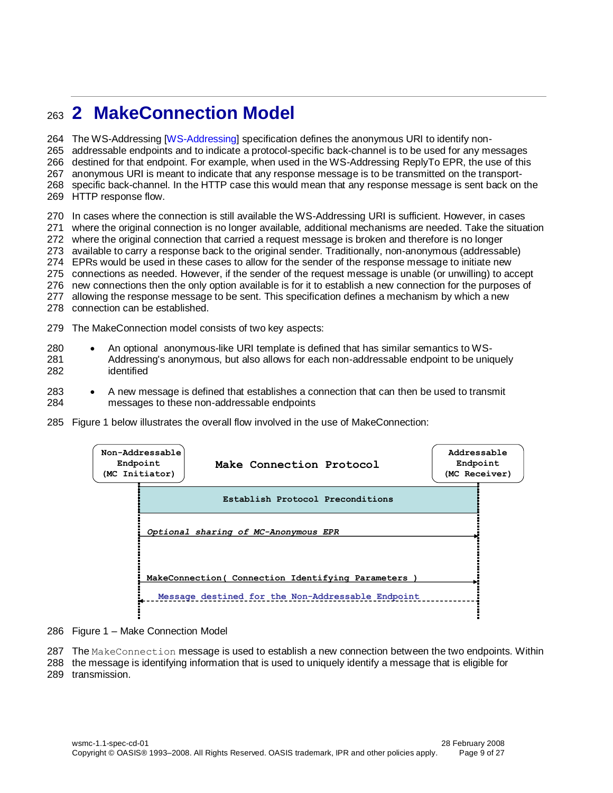## <span id="page-8-0"></span><sup>263</sup> **2 MakeConnection Model**

 The WS-Addressing [\[WS-Addressing\]](#page-5-12) specification defines the anonymous URI to identify non- addressable endpoints and to indicate a protocol-specific back-channel is to be used for any messages destined for that endpoint. For example, when used in the WS-Addressing ReplyTo EPR, the use of this anonymous URI is meant to indicate that any response message is to be transmitted on the transport- specific back-channel. In the HTTP case this would mean that any response message is sent back on the HTTP response flow.

 In cases where the connection is still available the WS-Addressing URI is sufficient. However, in cases where the original connection is no longer available, additional mechanisms are needed. Take the situation where the original connection that carried a request message is broken and therefore is no longer available to carry a response back to the original sender. Traditionally, non-anonymous (addressable) EPRs would be used in these cases to allow for the sender of the response message to initiate new connections as needed. However, if the sender of the request message is unable (or unwilling) to accept new connections then the only option available is for it to establish a new connection for the purposes of allowing the response message to be sent. This specification defines a mechanism by which a new

- 278 connection can be established.
- 279 The MakeConnection model consists of two key aspects:
- 280 An optional anonymous-like URI template is defined that has similar semantics to WS-281 Addressing's anonymous, but also allows for each non-addressable endpoint to be uniquely 282 identified
- 283 A new message is defined that establishes a connection that can then be used to transmit 284 messages to these non-addressable endpoints
- 285 Figure 1 below illustrates the overall flow involved in the use of MakeConnection:

| Endpoint<br>(MC Initiator) | Non-Addressable<br>Make Connection Protocol        | Addressable<br>Endpoint<br>(MC Receiver) |  |
|----------------------------|----------------------------------------------------|------------------------------------------|--|
|                            | Establish Protocol Preconditions                   |                                          |  |
|                            | Optional sharing of MC-Anonymous EPR               |                                          |  |
|                            | MakeConnection ( Connection Identifying Parameters |                                          |  |
|                            | Message destined for the Non-Addressable Endpoint  |                                          |  |

- 286 Figure 1 Make Connection Model
- 287 The MakeConnection message is used to establish a new connection between the two endpoints. Within
- 288 the message is identifying information that is used to uniquely identify a message that is eligible for
- 289 transmission.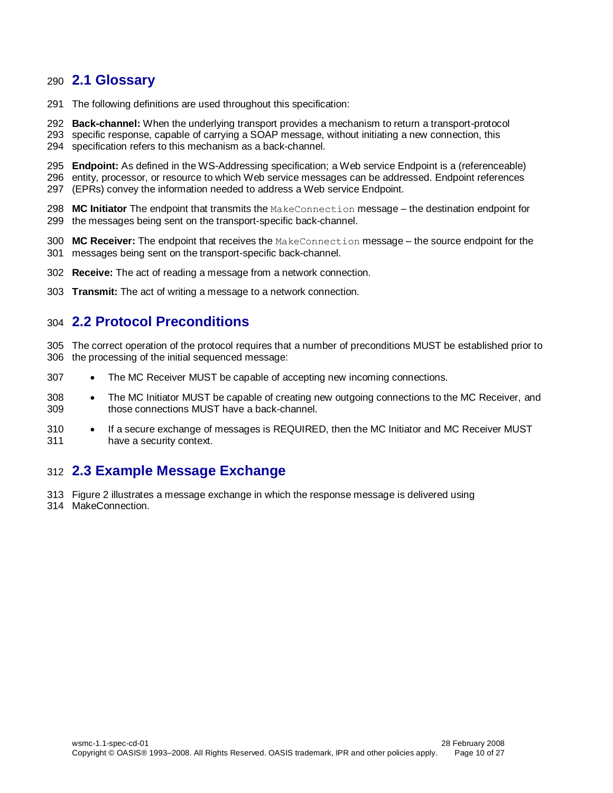#### <span id="page-9-0"></span>**2.1 Glossary**

- The following definitions are used throughout this specification:
- **Back-channel:** When the underlying transport provides a mechanism to return a transport-protocol
- specific response, capable of carrying a SOAP message, without initiating a new connection, this specification refers to this mechanism as a back-channel.
- **Endpoint:** As defined in the WS-Addressing specification; a Web service Endpoint is a (referenceable) entity, processor, or resource to which Web service messages can be addressed. Endpoint references (EPRs) convey the information needed to address a Web service Endpoint.
- **MC Initiator** The endpoint that transmits the MakeConnection message the destination endpoint for the messages being sent on the transport-specific back-channel.
- **MC Receiver:** The endpoint that receives the MakeConnection message the source endpoint for the messages being sent on the transport-specific back-channel.
- **Receive:** The act of reading a message from a network connection.
- **Transmit:** The act of writing a message to a network connection.

#### <span id="page-9-1"></span>**2.2 Protocol Preconditions**

- The correct operation of the protocol requires that a number of preconditions MUST be established prior to the processing of the initial sequenced message:
- 307 The MC Receiver MUST be capable of accepting new incoming connections.
- 308 The MC Initiator MUST be capable of creating new outgoing connections to the MC Receiver, and those connections MUST have a back-channel.
- 310 If a secure exchange of messages is REQUIRED, then the MC Initiator and MC Receiver MUST have a security context.

#### <span id="page-9-2"></span>**2.3 Example Message Exchange**

 Figure 2 illustrates a message exchange in which the response message is delivered using MakeConnection.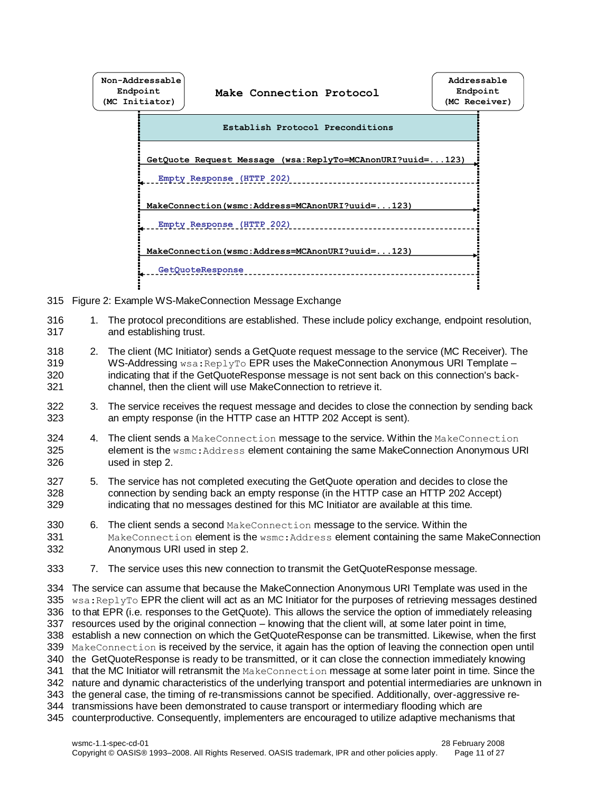

- 315 Figure 2: Example WS-MakeConnection Message Exchange
- 316 1. The protocol preconditions are established. These include policy exchange, endpoint resolution, 317 and establishing trust.
- 318 2. The client (MC Initiator) sends a GetQuote request message to the service (MC Receiver). The 319 WS-Addressing wsa: ReplyTo EPR uses the MakeConnection Anonymous URI Template – 320 indicating that if the GetQuoteResponse message is not sent back on this connection's back-321 channel, then the client will use MakeConnection to retrieve it.
- 322 3. The service receives the request message and decides to close the connection by sending back 323 an empty response (in the HTTP case an HTTP 202 Accept is sent).
- 324 4. The client sends a MakeConnection message to the service. Within the MakeConnection 325 element is the wsmc:Address element containing the same MakeConnection Anonymous URI 326 used in step 2.
- 327 5. The service has not completed executing the GetQuote operation and decides to close the 328 connection by sending back an empty response (in the HTTP case an HTTP 202 Accept) 329 indicating that no messages destined for this MC Initiator are available at this time.
- 330 6. The client sends a second MakeConnection message to the service. Within the 331 MakeConnection element is the wsmc: Address element containing the same MakeConnection 332 Anonymous URI used in step 2.
- 333 7. The service uses this new connection to transmit the GetQuoteResponse message.

 The service can assume that because the MakeConnection Anonymous URI Template was used in the  $wsa:Rep1yTo EPR$  the client will act as an MC Initiator for the purposes of retrieving messages destined to that EPR (i.e. responses to the GetQuote). This allows the service the option of immediately releasing resources used by the original connection – knowing that the client will, at some later point in time, establish a new connection on which the GetQuoteResponse can be transmitted. Likewise, when the first MakeConnection is received by the service, it again has the option of leaving the connection open until the GetQuoteResponse is ready to be transmitted, or it can close the connection immediately knowing 341 that the MC Initiator will retransmit the MakeConnection message at some later point in time. Since the nature and dynamic characteristics of the underlying transport and potential intermediaries are unknown in the general case, the timing of re-transmissions cannot be specified. Additionally, over-aggressive re- transmissions have been demonstrated to cause transport or intermediary flooding which are counterproductive. Consequently, implementers are encouraged to utilize adaptive mechanisms that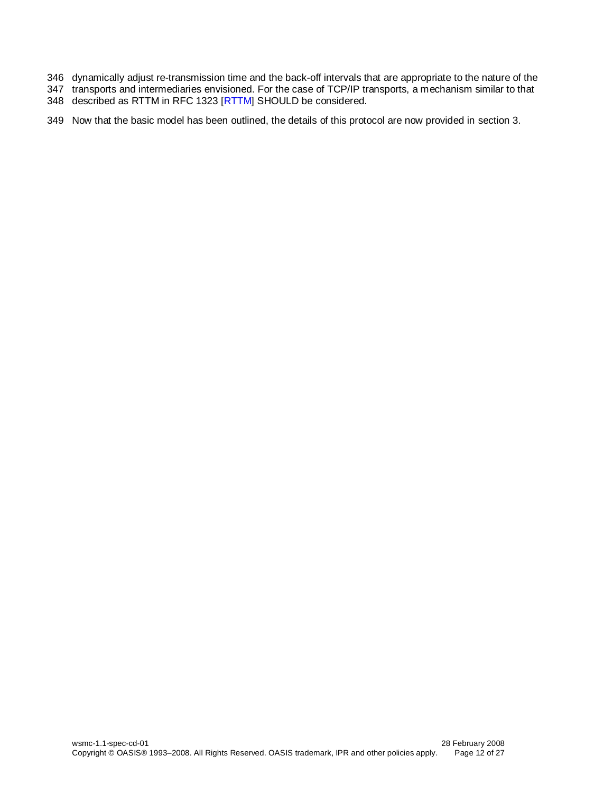- 346 dynamically adjust re-transmission time and the back-off intervals that are appropriate to the nature of the
- 347 transports and intermediaries envisioned. For the case of TCP/IP transports, a mechanism similar to that
- 348 described as RTTM in RFC 1323 [\[RTTM\]](#page-6-3) SHOULD be considered.
- 349 Now that the basic model has been outlined, the details of this protocol are now provided in section [3.](#page-12-0)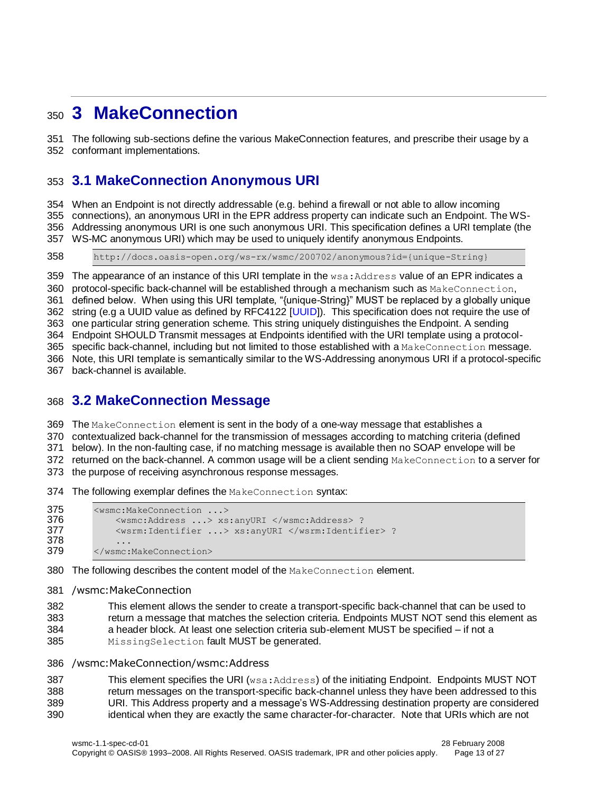## <span id="page-12-0"></span>**3 MakeConnection**

 The following sub-sections define the various MakeConnection features, and prescribe their usage by a conformant implementations.

### <span id="page-12-1"></span>**3.1 MakeConnection Anonymous URI**

 When an Endpoint is not directly addressable (e.g. behind a firewall or not able to allow incoming connections), an anonymous URI in the EPR address property can indicate such an Endpoint. The WS- Addressing anonymous URI is one such anonymous URI. This specification defines a URI template (the WS-MC anonymous URI) which may be used to uniquely identify anonymous Endpoints.

http://docs.oasis-open.org/ws-rx/wsmc/200702/anonymous?id={unique-String}

359 The appearance of an instance of this URI template in the  $ws$ a: Address value of an EPR indicates a 360 protocol-specific back-channel will be established through a mechanism such as MakeConnection, defined below. When using this URI template, "{unique-String}" MUST be replaced by a globally unique 362 string (e.g a UUID value as defined by RFC4122 [\[UUID\]](#page-5-13)). This specification does not require the use of one particular string generation scheme. This string uniquely distinguishes the Endpoint. A sending Endpoint SHOULD Transmit messages at Endpoints identified with the URI template using a protocol-365 specific back-channel, including but not limited to those established with a MakeConnection message. Note, this URI template is semantically similar to the WS-Addressing anonymous URI if a protocol-specific

back-channel is available.

#### <span id="page-12-2"></span>**3.2 MakeConnection Message**

The MakeConnection element is sent in the body of a one-way message that establishes a

contextualized back-channel for the transmission of messages according to matching criteria (defined

below). In the non-faulting case, if no matching message is available then no SOAP envelope will be

372 returned on the back-channel. A common usage will be a client sending MakeConnection to a server for

the purpose of receiving asynchronous response messages.

The following exemplar defines the MakeConnection syntax:

```
375 <wsmc:MakeConnection ...> 
376 <wsmc:Address ...> xs:anyURI </wsmc:Address> ?
377 <wsrm:Identifier ...> xs:anyURI </wsrm:Identifier> ?
378 ...<br>379 </wsmc:
        379 </wsmc:MakeConnection>
```
380 The following describes the content model of the MakeConnection element.

#### /wsmc:MakeConnection

 This element allows the sender to create a transport-specific back-channel that can be used to return a message that matches the selection criteria. Endpoints MUST NOT send this element as a header block. At least one selection criteria sub-element MUST be specified – if not a MissingSelection fault MUST be generated.

/wsmc:MakeConnection/wsmc:Address

387 This element specifies the URI (wsa: Address) of the initiating Endpoint. Endpoints MUST NOT return messages on the transport-specific back-channel unless they have been addressed to this URI. This Address property and a message's WS-Addressing destination property are considered identical when they are exactly the same character-for-character. Note that URIs which are not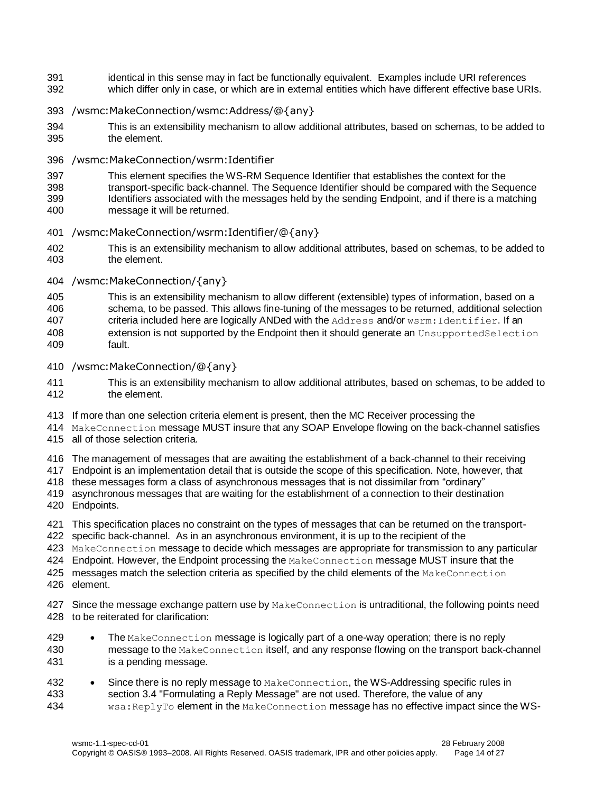- 391 identical in this sense may in fact be functionally equivalent. Examples include URI references which differ only in case, or which are in external entities which have different effective base URIs.
- /wsmc:MakeConnection/wsmc:Address/@{any}
- This is an extensibility mechanism to allow additional attributes, based on schemas, to be added to the element.
- /wsmc:MakeConnection/wsrm:Identifier
- This element specifies the WS-RM Sequence Identifier that establishes the context for the
- transport-specific back-channel. The Sequence Identifier should be compared with the Sequence Identifiers associated with the messages held by the sending Endpoint, and if there is a matching
- message it will be returned.
- /wsmc:MakeConnection/wsrm:Identifier/@{any}
- This is an extensibility mechanism to allow additional attributes, based on schemas, to be added to the element.
- /wsmc:MakeConnection/{any}
- This is an extensibility mechanism to allow different (extensible) types of information, based on a
- schema, to be passed. This allows fine-tuning of the messages to be returned, additional selection
- 407 criteria included here are logically ANDed with the Address and/or wsrm: Identifier. If an
- extension is not supported by the Endpoint then it should generate an UnsupportedSelection fault.
- /wsmc:MakeConnection/@{any}
- This is an extensibility mechanism to allow additional attributes, based on schemas, to be added to the element.
- If more than one selection criteria element is present, then the MC Receiver processing the
- MakeConnection message MUST insure that any SOAP Envelope flowing on the back-channel satisfies
- all of those selection criteria.
- The management of messages that are awaiting the establishment of a back-channel to their receiving
- Endpoint is an implementation detail that is outside the scope of this specification. Note, however, that
- these messages form a class of asynchronous messages that is not dissimilar from "ordinary"
- asynchronous messages that are waiting for the establishment of a connection to their destination
- Endpoints.
- This specification places no constraint on the types of messages that can be returned on the transport-
- specific back-channel. As in an asynchronous environment, it is up to the recipient of the
- MakeConnection message to decide which messages are appropriate for transmission to any particular
- 424 Endpoint. However, the Endpoint processing the MakeConnection message MUST insure that the
- 425 messages match the selection criteria as specified by the child elements of the MakeConnection
- element.
- 427 Since the message exchange pattern use by MakeConnection is untraditional, the following points need to be reiterated for clarification:
- 429 The MakeConnection message is logically part of a one-way operation; there is no reply message to the MakeConnection itself, and any response flowing on the transport back-channel is a pending message.
- 432 Since there is no reply message to MakeConnection, the WS-Addressing specific rules in<br>433 section 3.4 "Formulating a Reply Message" are not used. Therefore, the value of any section 3.4 "Formulating a Reply Message" are not used. Therefore, the value of any wsa:ReplyTo element in the MakeConnection message has no effective impact since the WS-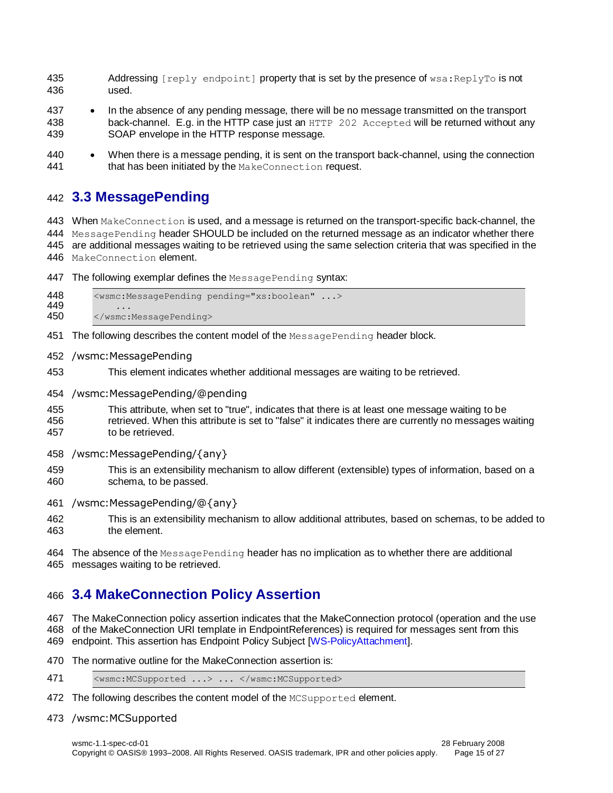- 435 Addressing  $[rep]_V$  endpoint  $[poperty]$  that is set by the presence of  $ws$  a: ReplyTo is not used.
- 437 In the absence of any pending message, there will be no message transmitted on the transport back-channel. E.g. in the HTTP case just an HTTP 202 Accepted will be returned without any SOAP envelope in the HTTP response message.
- When there is a message pending, it is sent on the transport back-channel, using the connection 441 that has been initiated by the MakeConnection request.

#### <span id="page-14-0"></span>**3.3 MessagePending**

 When MakeConnection is used, and a message is returned on the transport-specific back-channel, the 444 MessagePending header SHOULD be included on the returned message as an indicator whether there are additional messages waiting to be retrieved using the same selection criteria that was specified in the MakeConnection element.

- The following exemplar defines the MessagePending syntax:
- <wsmc:MessagePending pending="xs:boolean" ...> 449<br>450 </wsmc:MessagePending>
- 451 The following describes the content model of the MessagePending header block.
- /wsmc:MessagePending
- This element indicates whether additional messages are waiting to be retrieved.
- /wsmc:MessagePending/@pending
- This attribute, when set to "true", indicates that there is at least one message waiting to be retrieved. When this attribute is set to "false" it indicates there are currently no messages waiting to be retrieved.
- /wsmc:MessagePending/{any}
- This is an extensibility mechanism to allow different (extensible) types of information, based on a schema, to be passed.
- /wsmc:MessagePending/@{any}
- This is an extensibility mechanism to allow additional attributes, based on schemas, to be added to the element.
- 464 The absence of the MessagePending header has no implication as to whether there are additional messages waiting to be retrieved.

## <span id="page-14-1"></span>**3.4 MakeConnection Policy Assertion**

 The MakeConnection policy assertion indicates that the MakeConnection protocol (operation and the use of the MakeConnection URI template in EndpointReferences) is required for messages sent from this endpoint. This assertion has Endpoint Policy Subject [\[WS-PolicyAttachment\]](#page-6-4).

- 
- The normative outline for the MakeConnection assertion is:
- 471 <wsmc:MCSupported ...> ... </wsmc:MCSupported>
- 472 The following describes the content model of the MCSupported element.
- /wsmc:MCSupported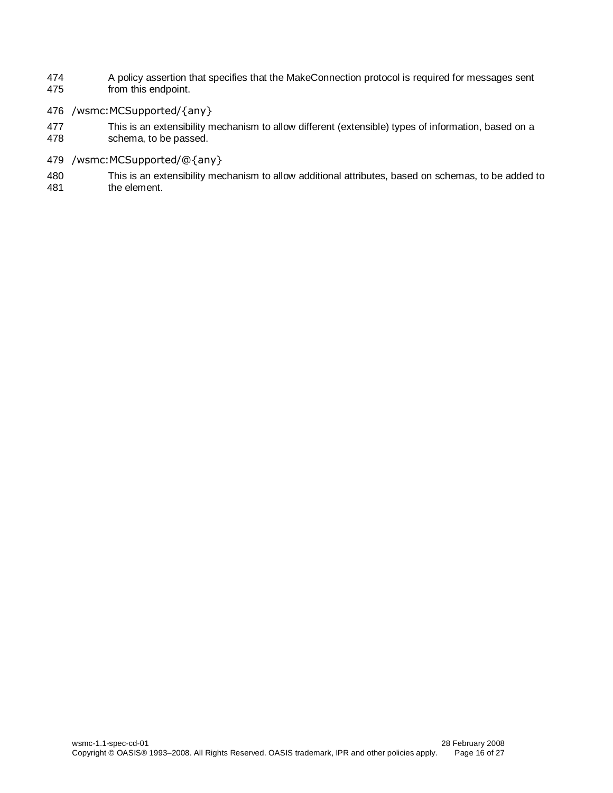- 474 A policy assertion that specifies that the MakeConnection protocol is required for messages sent<br>475 from this endpoint. from this endpoint.
- 476 /wsmc:MCSupported/{any}
- 477 This is an extensibility mechanism to allow different (extensible) types of information, based on a<br>478 schema, to be passed. schema, to be passed.
- 479 /wsmc:MCSupported/@{any}
- 480 This is an extensibility mechanism to allow additional attributes, based on schemas, to be added to the element.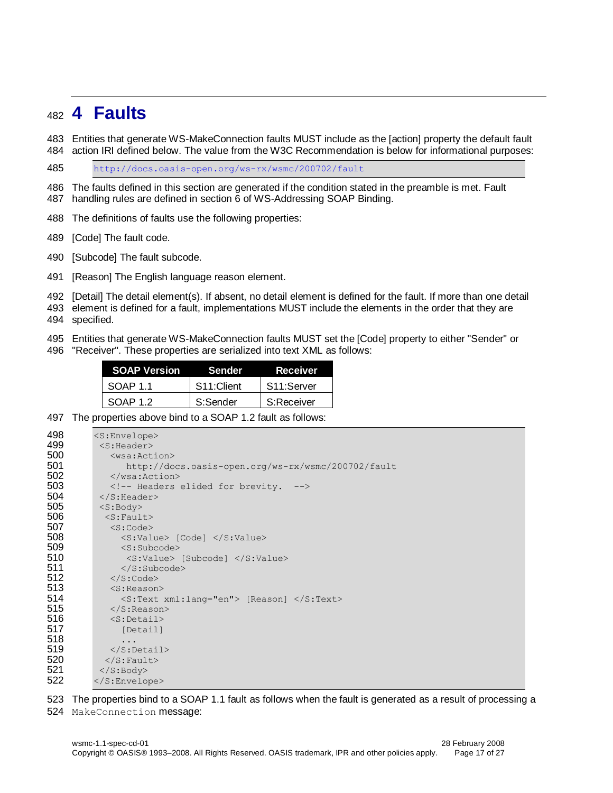## <span id="page-16-0"></span>**4 Faults**

 Entities that generate WS-MakeConnection faults MUST include as the [action] property the default fault action IRI defined below. The value from the W3C Recommendation is below for informational purposes:

<http://docs.oasis-open.org/ws-rx/wsmc/200702/fault>

 The faults defined in this section are generated if the condition stated in the preamble is met. Fault handling rules are defined in section 6 of WS-Addressing SOAP Binding.

The definitions of faults use the following properties:

[Code] The fault code.

[Subcode] The fault subcode.

[Reason] The English language reason element.

[Detail] The detail element(s). If absent, no detail element is defined for the fault. If more than one detail

 element is defined for a fault, implementations MUST include the elements in the order that they are specified.

Entities that generate WS-MakeConnection faults MUST set the [Code] property to either "Sender" or

"Receiver". These properties are serialized into text XML as follows:

| <b>SOAP Version</b> | Sender                  | <b>Receiver</b> |
|---------------------|-------------------------|-----------------|
| SOAP 11             | S <sub>11</sub> :Client | S11:Server      |
| SOAP 1.2            | S:Sender                | S:Receiver      |

The properties above bind to a SOAP 1.2 fault as follows:

| 498 | $<$ S:Envelope $>$                                 |
|-----|----------------------------------------------------|
| 499 | $<$ S:Header>                                      |
| 500 | $<$ wsa: Action $>$                                |
| 501 | http://docs.oasis-open.org/ws-rx/wsmc/200702/fault |
| 502 | $\langle$ /wsa:Action>                             |
| 503 | Headers elided for brevity.                        |
| 504 | $\langle$ /S: Header>                              |
| 505 | $<$ S: Body>                                       |
| 506 | $<$ S: Fault>                                      |
| 507 | $<$ S:Code $>$                                     |
| 508 | $\langle$ S:Value> [Code] $\langle$ /S:Value>      |
| 509 | $<$ S: Subcode $>$                                 |
| 510 | $\langle$ S:Value> [Subcode] $\langle$ /S:Value>   |
| 511 | $\langle$ /S: Subcode>                             |
| 512 | $\langle$ S:Code>                                  |
| 513 | $<$ S: Reason $>$                                  |
| 514 | <s:text xml:lang="en"> [Reason] </s:text>          |
| 515 | $\langle$ /S:Reason>                               |
| 516 | $<$ S:Detail>                                      |
| 517 | [Detail]                                           |
| 518 | .                                                  |
| 519 | $\langle$ S:Detail>                                |
| 520 | $\langle$ S: Fault>                                |
| 521 | $\langle$ S:Body>                                  |
| 522 |                                                    |

The properties bind to a SOAP 1.1 fault as follows when the fault is generated as a result of processing a

MakeConnection message: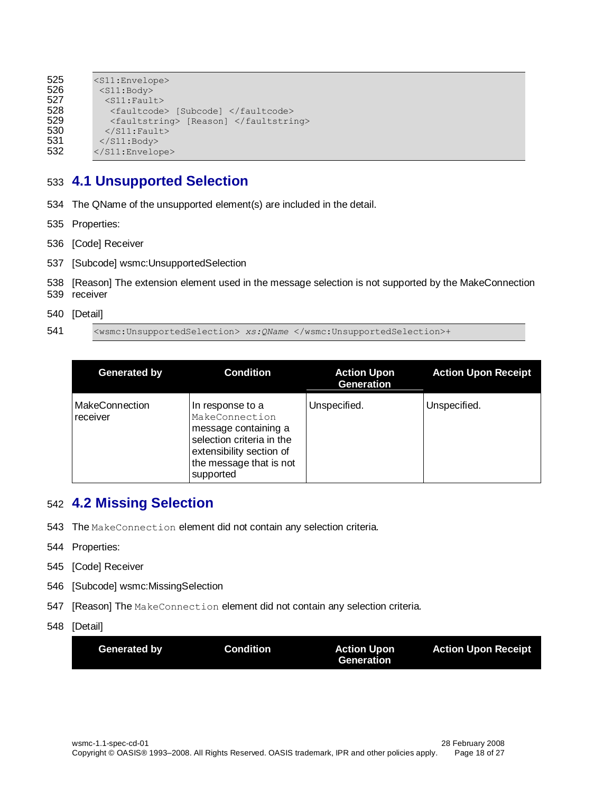```
525 <s11:Envelope><br>526 <s11:Bodv>
             526 <S11:Body>
527 <s11:Fault><br>528 <faultcode
528 <faultcode> [Subcode] </faultcode><br>529 <faultstring> [Reason] </faultstri
529 <faultstring> [Reason] </faultstring><br>530 </s11:Fault>
530 </S11:Fault><br>531 </S11:Body>
             \langle/S11:Body>
532 </S11:Envelope>
```
### <span id="page-17-0"></span>533 **4.1 Unsupported Selection**

- 534 The QName of the unsupported element(s) are included in the detail.
- 535 Properties:
- 536 [Code] Receiver
- 537 [Subcode] wsmc:UnsupportedSelection
- 538 [Reason] The extension element used in the message selection is not supported by the MakeConnection 539 receiver
- 540 [Detail]
- 541 <wsmc:UnsupportedSelection> *xs:QName* </wsmc:UnsupportedSelection>+

| <b>Generated by</b>               | <b>Condition</b>                                                                                                                                            | <b>Action Upon</b><br><b>Generation</b> | <b>Action Upon Receipt</b> |
|-----------------------------------|-------------------------------------------------------------------------------------------------------------------------------------------------------------|-----------------------------------------|----------------------------|
| <b>MakeConnection</b><br>receiver | In response to a<br>MakeConnection<br>message containing a<br>selection criteria in the<br>extensibility section of<br>the message that is not<br>supported | Unspecified.                            | Unspecified.               |

## <span id="page-17-1"></span>542 **4.2 Missing Selection**

- 543 The MakeConnection element did not contain any selection criteria.
- 544 Properties:
- 545 [Code] Receiver
- 546 [Subcode] wsmc:MissingSelection
- 547 [Reason] The MakeConnection element did not contain any selection criteria.
- 548 [Detail]

| Generated by | <b>Condition</b> | <b>Action Upon</b> | <b>Action Upon Receipt</b> |
|--------------|------------------|--------------------|----------------------------|
|              |                  | Generation         |                            |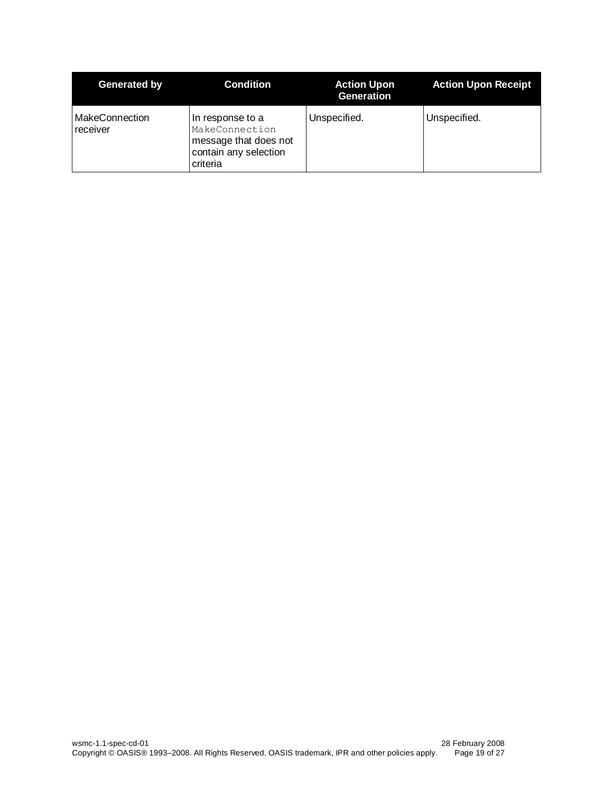| Generated by                      | <b>Condition</b>                                                                                 | <b>Action Upon</b><br><b>Generation</b> | <b>Action Upon Receipt</b> |
|-----------------------------------|--------------------------------------------------------------------------------------------------|-----------------------------------------|----------------------------|
| <b>MakeConnection</b><br>receiver | In response to a<br>MakeConnection<br>message that does not<br>contain any selection<br>criteria | Unspecified.                            | Unspecified.               |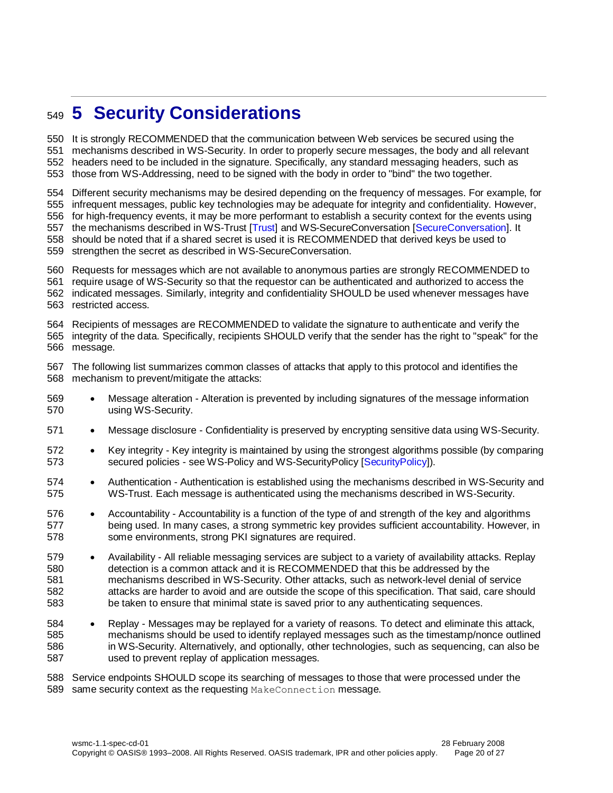## <span id="page-19-0"></span>**5 Security Considerations**

 It is strongly RECOMMENDED that the communication between Web services be secured using the mechanisms described in WS-Security. In order to properly secure messages, the body and all relevant headers need to be included in the signature. Specifically, any standard messaging headers, such as those from WS-Addressing, need to be signed with the body in order to "bind" the two together.

Different security mechanisms may be desired depending on the frequency of messages. For example, for

infrequent messages, public key technologies may be adequate for integrity and confidentiality. However,

 for high-frequency events, it may be more performant to establish a security context for the events using the mechanisms described in WS-Trust [\[Trust\]](#page-6-5) and WS-SecureConversation [\[SecureConversation\]](#page-6-6). It

should be noted that if a shared secret is used it is RECOMMENDED that derived keys be used to

strengthen the secret as described in WS-SecureConversation.

Requests for messages which are not available to anonymous parties are strongly RECOMMENDED to

require usage of WS-Security so that the requestor can be authenticated and authorized to access the

 indicated messages. Similarly, integrity and confidentiality SHOULD be used whenever messages have restricted access.

 Recipients of messages are RECOMMENDED to validate the signature to authenticate and verify the integrity of the data. Specifically, recipients SHOULD verify that the sender has the right to "speak" for the message.

 The following list summarizes common classes of attacks that apply to this protocol and identifies the mechanism to prevent/mitigate the attacks:

- Message alteration Alteration is prevented by including signatures of the message information using WS-Security.
- Message disclosure Confidentiality is preserved by encrypting sensitive data using WS-Security.
- 572 Key integrity Key integrity is maintained by using the strongest algorithms possible (by comparing secured policies - see WS-Policy and WS-SecurityPolicy [\[SecurityPolicy\]](#page-6-7)).
- Authentication Authentication is established using the mechanisms described in WS-Security and WS-Trust. Each message is authenticated using the mechanisms described in WS-Security.
- 576 Accountability Accountability is a function of the type of and strength of the key and algorithms being used. In many cases, a strong symmetric key provides sufficient accountability. However, in some environments, strong PKI signatures are required.
- Availability All reliable messaging services are subject to a variety of availability attacks. Replay detection is a common attack and it is RECOMMENDED that this be addressed by the mechanisms described in WS-Security. Other attacks, such as network-level denial of service attacks are harder to avoid and are outside the scope of this specification. That said, care should be taken to ensure that minimal state is saved prior to any authenticating sequences.
- 584 Replay Messages may be replayed for a variety of reasons. To detect and eliminate this attack, mechanisms should be used to identify replayed messages such as the timestamp/nonce outlined in WS-Security. Alternatively, and optionally, other technologies, such as sequencing, can also be used to prevent replay of application messages.

 Service endpoints SHOULD scope its searching of messages to those that were processed under the 589 same security context as the requesting MakeConnection message.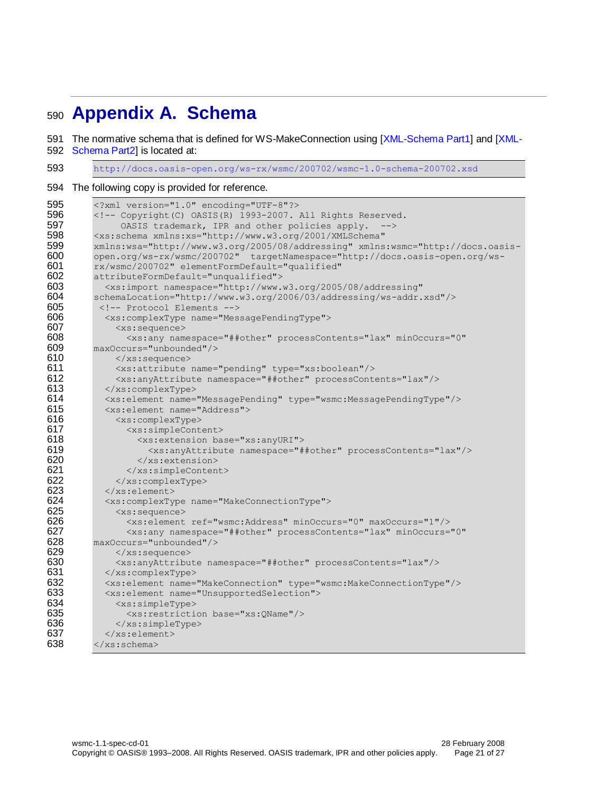## <span id="page-20-0"></span>**Appendix A. Schema**

The normative schema that is defined for WS-MakeConnection using [\[XML-Schema Part1\]](#page-5-10) and [\[XML-](#page-5-11)

[Schema Part2\]](#page-5-11) is located at:

<http://docs.oasis-open.org/ws-rx/wsmc/200702/wsmc-1.0-schema-200702.xsd>

The following copy is provided for reference.

```
595 <?xml version="1.0" encoding="UTF-8"?><br>596 <!-- Copyright (C) OASIS (R) 1993-2007.
596 <!-- Copyright(C) OASIS(R) 1993-2007. All Rights Reserved.<br>597 0ASIS trademark. IPR and other policies apply. -->
                 OASIS trademark, IPR and other policies apply. -->
598 <xs:schema xmlns:xs="http://www.w3.org/2001/XMLSchema" 
599 xmlns:wsa="http://www.w3.org/2005/08/addressing" xmlns:wsmc="http://docs.oasis-
600 open.org/ws-rx/wsmc/200702" targetNamespace="http://docs.oasis-open.org/ws-
601 rx/wsmc/200702" elementFormDefault="qualified" 
602 attributeFormDefault="unqualified"><br>603 <xs:import namespace="http://www.
603 \langle x s : \text{import namespace="http://www.w3.org/2005/08/addressing"}<br>604 schemaLocation="http://www.w3.org/2006/03/addressing/ws-addr.
604 schemaLocation="http://www.w3.org/2006/03/addressing/ws-addr.xsd"/><br>605 <1-- Protocol Elements -->
            605 <!-- Protocol Elements -->
606 <xs:complexType name="MessagePendingType"><br>607 <xs:sequence>
                607 <xs:sequence>
608 <xs:any namespace="##other" processContents="lax" minOccurs="0" 
609 maxOccurs="unbounded"/><br>610 </xs:sequence>
610 </xs:sequence>
611 <xs:attribute name="pending" type="xs:boolean"/><br>612 <xs:anvAttribute namespace="##other" processConte
                612 <xs:anyAttribute namespace="##other" processContents="lax"/>
613 </xs:complexType>
614 <xs:element name="MessagePending" type="wsmc:MessagePendingType"/>
615 <xs:element name="Address">
616 <xs:complexType>
617 <xs:simpleContent>
618 \leqxs:extension base="xs:anyURI"><br>619 \leqxs:anyAttribute namespace="#
                        619 <xs:anyAttribute namespace="##other" processContents="lax"/>
620 </xs:extension>
621 \langle x \rangle /xs:simpleContent><br>622 \langle x \rangle /xs:complexType>
622 \langle x \rangle /xs:complexType><br>623 \langle x \rangle /xs:element>
623 \langle x \rangle \langle x \rangle \langle x \rangle \langle x \rangle \langle x \rangle \langle x \rangle \langle x \rangle \langle x \rangle \langle x \rangle \langle x \rangle624 <xs:complexType name="MakeConnectionType">
                625 <xs:sequence>
626 <xs:element ref="wsmc:Address" minOccurs="0" maxOccurs="1"/>
                  627 <xs:any namespace="##other" processContents="lax" minOccurs="0" 
628 maxOccurs="unbounded"/>
629 </xs:sequence>
630 <xs:anyAttribute namespace="##other" processContents="lax"/>
631 </xs:complexType><br>632 <xs:element.name=
             632 <xs:element name="MakeConnection" type="wsmc:MakeConnectionType"/>
633 <xs:element name="UnsupportedSelection">
634 <xs:simpleType><br>635 <xs:restriction
                   635 <xs:restriction base="xs:QName"/>
636 \langle x \rangle /xs:simpleType><br>637 \langle x \rangle /xs:element>
             637 </xs:element>
638 \times /xs:schema>
```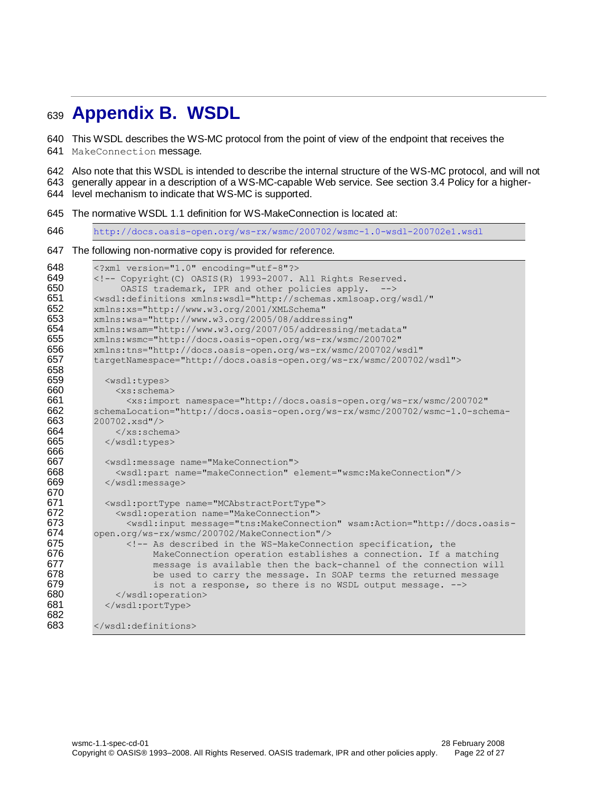## <span id="page-21-0"></span>**Appendix B. WSDL**

This WSDL describes the WS-MC protocol from the point of view of the endpoint that receives the

MakeConnection message.

 Also note that this WSDL is intended to describe the internal structure of the WS-MC protocol, and will not generally appear in a description of a WS-MC-capable Web service. See section [3.4](#page-14-1) Policy for a higher-level mechanism to indicate that WS-MC is supported.

The normative WSDL 1.1 definition for WS-MakeConnection is located at:

[http://docs.oasis-open.org/ws-rx/wsmc/200702/wsmc-1.0-wsdl-200702e1.wsdl](http://docs.oasis-open.org/ws-rx/wsmc/200702/wsmc-1.0-wsdl-200702.wsdl)

#### The following non-normative copy is provided for reference.

```
648 <?xml version="1.0" encoding="utf-8"?>
649 \langle!-- Copyright(C) OASIS(R) 1993-2007. All Rights Reserved.<br>650 0ASIS trademark. IPR and other policies apply. -->
                 OASIS trademark, IPR and other policies apply. -->
651 <wsdl:definitions xmlns:wsdl="http://schemas.xmlsoap.org/wsdl/" 
652 xmlns:xs="http://www.w3.org/2001/XMLSchema"<br>653 xmlns:wsa="http://www.w3.org/2005/08/addres
          653 xmlns:wsa="http://www.w3.org/2005/08/addressing" 
654 xmlns:wsam="http://www.w3.org/2007/05/addressing/metadata" 
          655 xmlns:wsmc="http://docs.oasis-open.org/ws-rx/wsmc/200702" 
656 xmlns:tns="http://docs.oasis-open.org/ws-rx/wsmc/200702/wsdl"<br>657 targetNamespace="http://docs.oasis-open.org/ws-rx/wsmc/200702
          657 targetNamespace="http://docs.oasis-open.org/ws-rx/wsmc/200702/wsdl">
658
659 <wsdl:types><br>660 <ws:schema
               660 <xs:schema>
661 <xs:import namespace="http://docs.oasis-open.org/ws-rx/wsmc/200702" 
662 schemaLocation="http://docs.oasis-open.org/ws-rx/wsmc/200702/wsmc-1.0-schema-<br>663 200702.xsd"/>
          663 200702.xsd"/>
664 \langle/xs:schema><br>665 \langle/wsdl:tvpes>
             </wsdl:types>
666
             667 <wsdl:message name="MakeConnection">
668 <wsdl:part name="makeConnection" element="wsmc:MakeConnection"/>
669 </wsdl:message>
670
671 <wsdl:portType name="MCAbstractPortType"><br>672 <wsdl:operation name="MakeConnection">
672 <wsdl:operation name="MakeConnection"><br>673 <wsdl:input message="tns:MakeConnect
673 \leq \leq \leq \leq \leq \leq \leq \leq \leq \leq \leq \leq \leq \leq \leq \leq \leq \leq \leq \leq \leq \leq \leq \leq \leq \leq \leq \leq \leq \leq \leq \leq \leq \leq \leq \leq 674 open.org/ws-rx/wsmc/200702/MakeConnection"/>
675 <!-- As described in the WS-MakeConnection specification, the
676 MakeConnection operation establishes a connection. If a matching<br>677 message is available then the back-channel of the connection wil
                        message is available then the back-channel of the connection will
678 be used to carry the message. In SOAP terms the returned message
679 is not a response, so there is no WSDL output message. \leftarrow 580 \leq/wsdl:operation>
                </wsdl:operation>
681 </wsdl:portType>
682
683 </wsdl:definitions>
```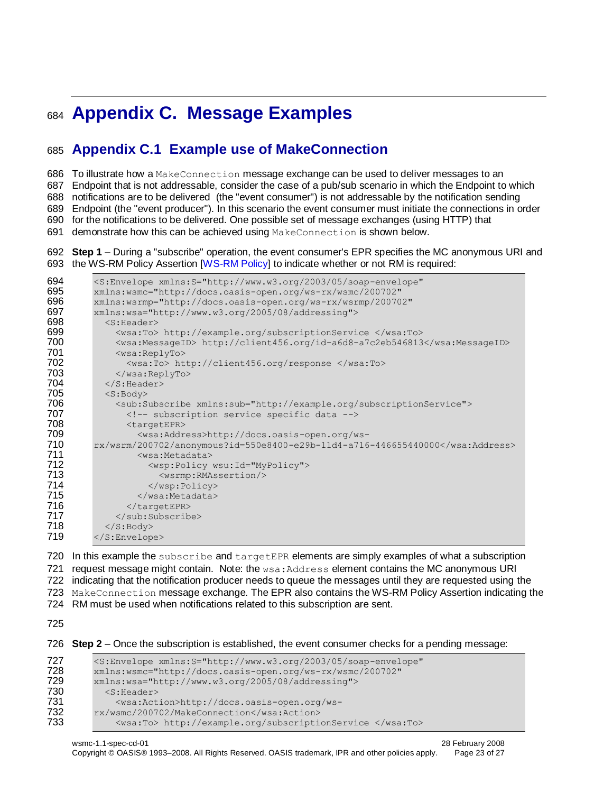## <span id="page-22-0"></span>**Appendix C. Message Examples**

## <span id="page-22-1"></span>**Appendix C.1 Example use of MakeConnection**

To illustrate how a MakeConnection message exchange can be used to deliver messages to an

Endpoint that is not addressable, consider the case of a pub/sub scenario in which the Endpoint to which

notifications are to be delivered (the "event consumer") is not addressable by the notification sending

Endpoint (the "event producer"). In this scenario the event consumer must initiate the connections in order

for the notifications to be delivered. One possible set of message exchanges (using HTTP) that

691 demonstrate how this can be achieved using MakeConnection is shown below.

#### **Step 1** – During a "subscribe" operation, the event consumer's EPR specifies the MC anonymous URI and the WS-RM Policy Assertion [\[WS-RM Policy\]](#page-5-14) to indicate whether or not RM is required:

```
694 < S: Envelope xmlns: S="http://www.w3.org/2003/05/soap-envelope"<br>695 xmlns: wsmc="http://docs.oasis-open.org/ws-rx/wsmc/200702"
         695 xmlns:wsmc="http://docs.oasis-open.org/ws-rx/wsmc/200702" 
696 xmlns:wsrmp="http://docs.oasis-open.org/ws-rx/wsrmp/200702"
697 xmlns:wsa="http://www.w3.org/2005/08/addressing">
698 <S:Header>
699 \langlewsa:To> http://example.org/subscriptionService </wsa:To> 700 \langlewsa:MessageID> http://client456.org/id-a6d8-a7c2eb546813
700 <wsa:MessageID> http://client456.org/id-a6d8-a7c2eb546813</wsa:MessageID><br>701 <wsa:ReplyTo>
701 <wsa:ReplyTo>
702 <wsa:To> http://client456.org/response </wsa:To>
              703 </wsa:ReplyTo>
704 \langle/S:Header><br>705 \langleS:Body>
705 <S:Body>
              706 <sub:Subscribe xmlns:sub="http://example.org/subscriptionService">
707 \langle!-- subscription service specific data --><br>708 \langle <targetEPR>
708 <targetEPR>
709 <wsa:Address>http://docs.oasis-open.org/ws-
         710 rx/wsrm/200702/anonymous?id=550e8400-e29b-11d4-a716-446655440000</wsa:Address>
711 <wsa:Metadata>
712 <wsp:Policy wsu:Id="MyPolicy">
713 <wsrmp:RMAssertion/><br>714 </wsp:Policy>
714 </wsp:Policy>
715 </wsa:Metadata><br>716 </wsa:Metadata>
716 </targetEPR><br>717 </sub:Subscrib
              717 </sub:Subscribe>
718 \langle/S:Body>
719 </S:Envelope>
```
720 In this example the subscribe and targetEPR elements are simply examples of what a subscription 721 request message might contain. Note: the wsa: Address element contains the MC anonymous URI indicating that the notification producer needs to queue the messages until they are requested using the MakeConnection message exchange. The EPR also contains the WS-RM Policy Assertion indicating the RM must be used when notifications related to this subscription are sent.

**Step 2** – Once the subscription is established, the event consumer checks for a pending message:

```
727 <S:Envelope xmlns:S="http://www.w3.org/2003/05/soap-envelope"<br>728 xmlns:wsmc="http://docs.oasis-open.org/ws-rx/wsmc/200702"
            728 xmlns:wsmc="http://docs.oasis-open.org/ws-rx/wsmc/200702" 
729 xmlns:wsa="http://www.w3.org/2005/08/addressing"><br>730 < Header>
730 <s:Header><br>731 <s:Header>
                 731 <wsa:Action>http://docs.oasis-open.org/ws-
732 rx/wsmc/200702/MakeConnection</wsa:Action><br>733 <wsa:To> http://example.org/subscripti
                 733 <wsa:To> http://example.org/subscriptionService </wsa:To>
```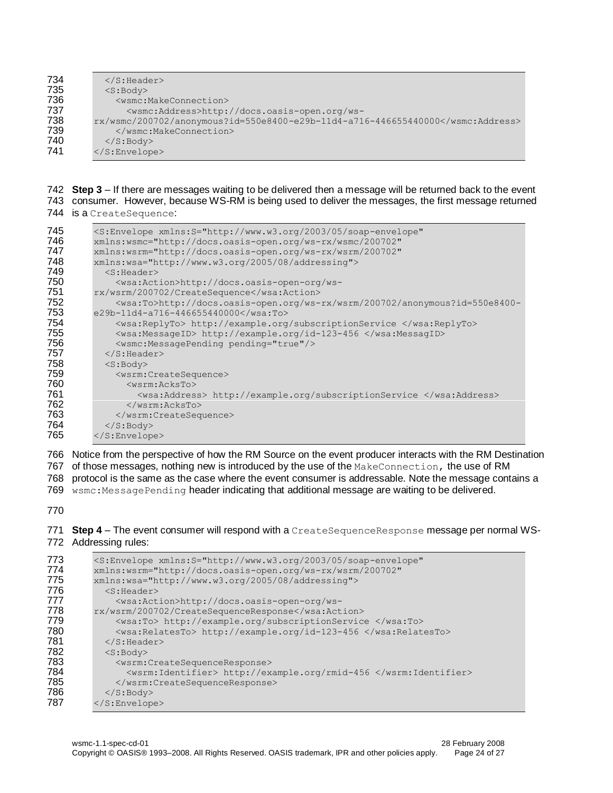| 734 | $\langle$ S: Header>                                               |
|-----|--------------------------------------------------------------------|
| 735 | $<$ S:Body>                                                        |
| 736 | $<$ wsmc:MakeConnection $>$                                        |
| 737 | <wsmc:address>http://docs.oasis-open.org/ws-</wsmc:address>        |
| 738 | $rx/wsmc/200702/anonymous?id=550e8400-e29b-11d4-a716-446655440000$ |
| 739 |                                                                    |
| 740 | $\langle$ S: Body>                                                 |
| 741 | $\langle$ /S:Envelope>                                             |
|     |                                                                    |

 **Step 3** – If there are messages waiting to be delivered then a message will be returned back to the event consumer. However, because WS-RM is being used to deliver the messages, the first message returned 744 is a Create Sequence:

```
745 < S:Envelope xmlns: S="http://www.w3.org/2003/05/soap-envelope"<br>746 xmlns: wsmc="http://docs.oasis-open.org/ws-rx/wsmc/200702"
746 xmlns:wsmc="http://docs.oasis-open.org/ws-rx/wsmc/200702"
           747 xmlns:wsrm="http://docs.oasis-open.org/ws-rx/wsrm/200702" 
748 xmlns:wsa="http://www.w3.org/2005/08/addressing"><br>749 < S:Header>
749 <S:Header>
750 <wsa:Action>http://docs.oasis-open-org/ws-<br>751 rx/wsrm/200702/CreateSequence</wsa:Action>
751 rx/wsrm/200702/CreateSequence</wsa:Action><br>752 <wsa:To>http://docs.oasis-open.org/ws-
752 \leqwsa:To>http://docs.oasis-open.org/ws-rx/wsrm/200702/anonymous?id=550e8400-<br>753 e29b-11d4-a716-446655440000</wsa:To>
753 e29b-11d4-a716-446655440000</wsa:To>
                754 <wsa:ReplyTo> http://example.org/subscriptionService </wsa:ReplyTo>
755 <wsa:MessageID> http://example.org/id-123-456 </wsa:MessagID>
756 <wsmc:MessagePending pending="true"/><br>757 </S:Header>
757 \langle/S:Header><br>758 \langleS:Body>
758 <s:Body><br>759 <wsrm:
                759 <wsrm:CreateSequence>
760 <wsrm:AcksTo><br>761 <wsa:Addres
                     761 <wsa:Address> http://example.org/subscriptionService </wsa:Address>
762 </wsrm:AcksTo>
763 </wsrm:CreateSequence><br>764 </s:Body>
764 \langle/S:Body><br>765 \langle/S:Envelope
           </S:Envelope>
```
 Notice from the perspective of how the RM Source on the event producer interacts with the RM Destination 767 of those messages, nothing new is introduced by the use of the MakeConnection, the use of RM protocol is the same as the case where the event consumer is addressable. Note the message contains a 769 wsmc:MessagePending header indicating that additional message are waiting to be delivered.

 **Step 4** – The event consumer will respond with a CreateSequenceResponse message per normal WS-Addressing rules:

| 773 | <s:envelope <="" th="" xmlns:s="http://www.w3.org/2003/05/soap-envelope"></s:envelope> |  |  |
|-----|----------------------------------------------------------------------------------------|--|--|
| 774 | xmlns:wsrm="http://docs.oasis-open.org/ws-rx/wsrm/200702"                              |  |  |
| 775 | xmlns:wsa="http://www.w3.org/2005/08/addressing">                                      |  |  |
| 776 | $<$ S:Header>                                                                          |  |  |
| 777 | <wsa:action>http://docs.oasis-open-org/ws-</wsa:action>                                |  |  |
| 778 | rx/wsrm/200702/CreateSequenceResponse                                                  |  |  |
| 779 | <wsa:to> http://example.org/subscriptionService </wsa:to>                              |  |  |
| 780 | <wsa:relatesto> http://example.org/id-123-456 </wsa:relatesto>                         |  |  |
| 781 | $\langle$ /S:Header>                                                                   |  |  |
| 782 | $<$ S:Body>                                                                            |  |  |
| 783 | <wsrm:createsequenceresponse></wsrm:createsequenceresponse>                            |  |  |
| 784 | <wsrm:identifier> http://example.org/rmid-456 </wsrm:identifier>                       |  |  |
| 785 |                                                                                        |  |  |
| 786 | $\langle$ S: Body>                                                                     |  |  |
| 787 | $\langle$ /S:Envelope>                                                                 |  |  |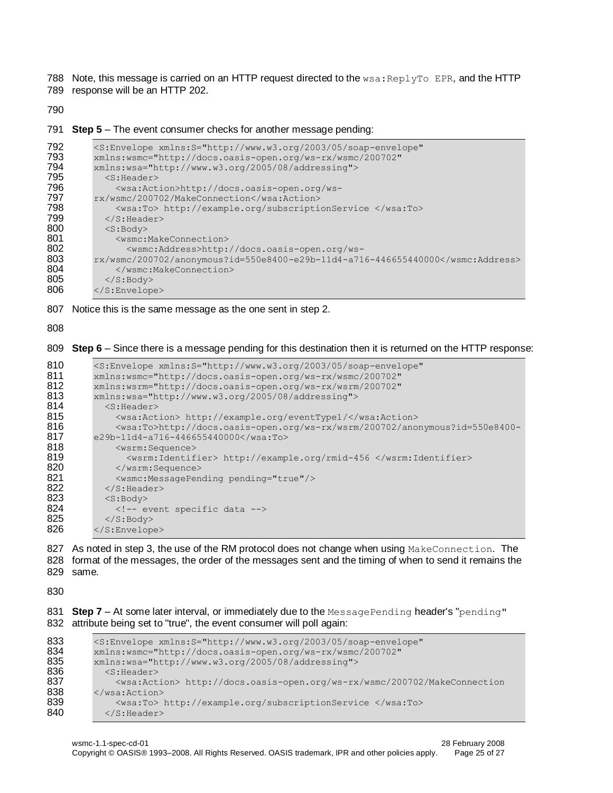788 Note, this message is carried on an HTTP request directed to the  $wsa:ReplyTo EPR$ , and the HTTP

789 response will be an HTTP 202.

790

791 **Step 5** – The event consumer checks for another message pending:

```
792 < S: Envelope xmlns: S="http://www.w3.org/2003/05/soap-envelope"<br>793 xmlns: wsmc="http://docs.oasis-open.org/ws-rx/wsmc/200702"
793 xmlns:wsmc="http://docs.oasis-open.org/ws-rx/wsmc/200702"
794 xmlns:wsa="http://www.w3.org/2005/08/addressing"><br>795 < S:Header>
795 <S:Header>
796 <wsa:Action>http://docs.oasis-open.org/ws-<br>797 rx/wsmc/200702/MakeConnection</wsa:Action>
797 rx/wsmc/200702/MakeConnection</wsa:Action><br>798 <wsa:To> http://example.org/subscripti
798 <wsa:To> http://example.org/subscriptionService </wsa:To> </S:Header>
799 \langle/S:Header><br>800 \langleS:Body>
800 <s:Body><br>801 <wsmc:1
801 <wsmc:MakeConnection>
802 <wsmc:Address>http://docs.oasis-open.org/ws-<br>803 rx/wsmc/200702/anonymous?id=550e8400-e29b-11d4-a71
803 rx/wsmc/200702/anonymous?id=550e8400-e29b-11d4-a716-446655440000</wsmc:Address>
804 \langle/wsmc:MakeConnection><br>805 \langle/S:Body>
              </S:Body>
806 </S:Envelope>
```
807 Notice this is the same message as the one sent in step 2.

808

809 **Step 6** – Since there is a message pending for this destination then it is returned on the HTTP response:

```
810 <S:Envelope xmlns:S="http://www.w3.org/2003/05/soap-envelope" 
811 xmlns:wsmc="http://docs.oasis-open.org/ws-rx/wsmc/200702"
         812 xmlns:wsrm="http://docs.oasis-open.org/ws-rx/wsrm/200702" 
813 xmlns:wsa="http://www.w3.org/2005/08/addressing"><br>814 < S:Header>
           <S:Header>
815 <wsa:Action> http://example.org/eventType1/</wsa:Action>
816 \leqwsa:To>http://docs.oasis-open.org/ws-rx/wsrm/200702/anonymous?id=550e8400-<br>817 e29b-11d4-a716-446655440000</wsa:To>
         e29b-11d4-a716-446655440000</wsa:To>
818 <wsrm:Sequence>
819 <wsrm:Identifier> http://example.org/rmid-456 </wsrm:Identifier><br>820 </wsrm:Sequence>
             820 </wsrm:Sequence>
821 <wsmc:MessagePending pending="true"/>
822 \times </S: Header>
823 \langle S:Body\rangle824 <!-- event specific data --><br>825 </s:Bodv>
           \langleS:Body>
826 </S:Envelope>
```
827 As noted in step 3, the use of the RM protocol does not change when using MakeConnection. The 828 format of the messages, the order of the messages sent and the timing of when to send it remains the 829 same.

830

831 **Step 7** – At some later interval, or immediately due to the MessagePending header's "pending" 832 attribute being set to "true", the event consumer will poll again:

```
833 <S:Envelope xmlns:S="http://www.w3.org/2003/05/soap-envelope"<br>834 xmlns:wsmc="http://docs.oasis-open.org/ws-rx/wsmc/200702"
834 xmlns:wsmc="http://docs.oasis-open.org/ws-rx/wsmc/200702"<br>835 xmlns:wsa="http://www.w3.org/2005/08/addressing">
835 xmlns:ws = "http://www.w3.org/2005/08/addressing" > 836 < S: Header>
836 <s:Header><br>837 <wsa:Act
                  837 <wsa:Action> http://docs.oasis-open.org/ws-rx/wsmc/200702/MakeConnection
838 \le/wsa:Action><br>839 \lewsa:To>
                  839 <wsa:To> http://example.org/subscriptionService </wsa:To>
840 </S: Header>
```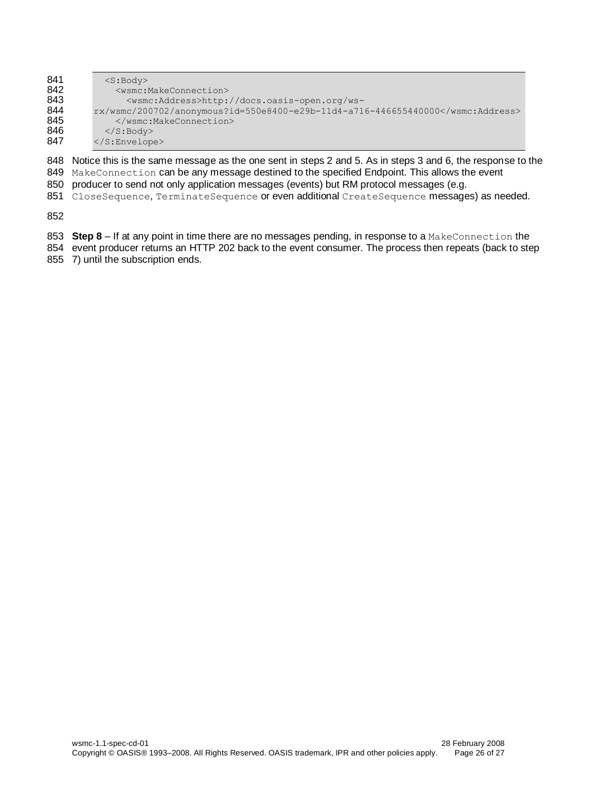| $<$ S:Body>                                                        |  |  |
|--------------------------------------------------------------------|--|--|
| <wsmc:makeconnection></wsmc:makeconnection>                        |  |  |
| <wsmc:address>http://docs.oasis-open.org/ws-</wsmc:address>        |  |  |
| $rx/wsmc/200702/anonymous?id=550e8400-e29b-11d4-a716-446655440000$ |  |  |
|                                                                    |  |  |
| $\langle$ /S:Body>                                                 |  |  |
| $\langle$ /S:Envelope>                                             |  |  |
|                                                                    |  |  |

 Notice this is the same message as the one sent in steps 2 and 5. As in steps 3 and 6, the response to the 849 MakeConnection can be any message destined to the specified Endpoint. This allows the event

- producer to send not only application messages (events) but RM protocol messages (e.g.
- 851 CloseSequence, TerminateSequence or even additional CreateSequence messages) as needed.

- **Step 8** If at any point in time there are no messages pending, in response to a MakeConnection the
- 854 event producer returns an HTTP 202 back to the event consumer. The process then repeats (back to step 7) until the subscription ends.